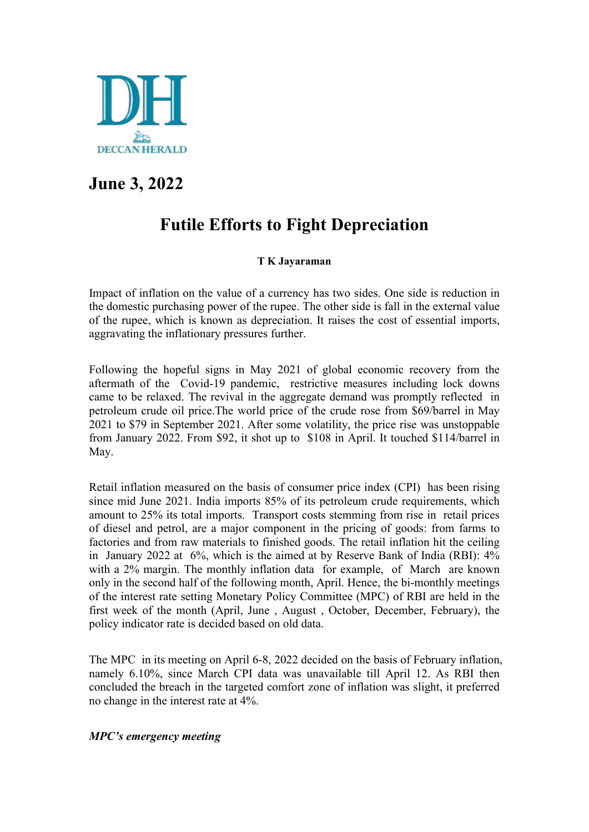

## **June 3, 2022**

# **Futile Efforts to Fight Depreciation**

### **T K Jayaraman**

Impact of inflation on the value of a currency has two sides. One side is reduction in the domestic purchasing power of the rupee. The other side is fall in the external value of the rupee, which is known as depreciation. It raises the cost of essential imports, aggravating the inflationary pressures further.

Following the hopeful signs in May 2021 of global economic recovery from the aftermath of the Covid-19 pandemic, restrictive measures including lock downs came to be relaxed.The revival in the aggregate demand was promptly reflected in petroleum crude oil price.The world price of the crude rose from \$69/barrel in May 2021 to \$79 in September 2021. After some volatility, the price rise was unstoppable from January 2022. From \$92, it shot up to \$108 in April. It touched \$114/barrel in May.

Retail inflation measured on the basis of consumer price index (CPI) has been rising since mid June 2021. India imports 85% of its petroleum crude requirements, which amount to 25% its total imports. Transport costs stemming from rise in retail prices of diesel and petrol, are a major component in the pricing of goods: from farms to factories and from raw materials to finished goods. The retail inflation hit the ceiling in January 2022 at 6%, which is the aimed at by Reserve Bank of India (RBI): 4% with a 2% margin. The monthly inflation data for example, of March are known only in the second half of the following month, April. Hence, the bi-monthly meetings of the interest rate setting Monetary Policy Committee (MPC) of RBI are held in the first week of the month (April, June , August , October, December, February), the policy indicator rate is decided based on old data.

The MPC in its meeting on April 6-8, 2022 decided on the basis of February inflation, namely 6.10%, since March CPI data was unavailable till April 12. As RBI then concluded the breach in the targeted comfort zone of inflation was slight, it preferred no change in the interest rate at  $4\%$ .

### *MPC's emergency meeting*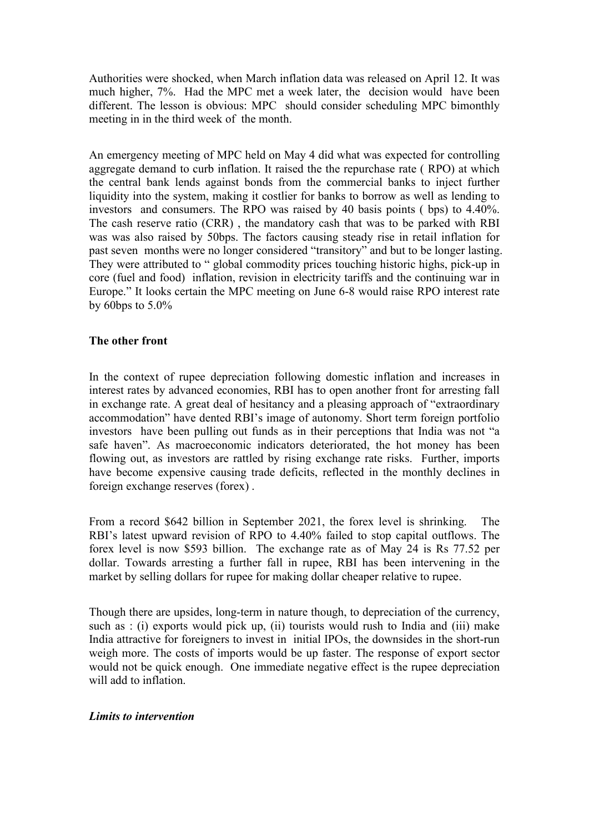Authorities were shocked, when March inflation data was released on April 12. It was much higher, 7%. Had the MPC met a week later, the decision would have been different. The lesson is obvious: MPC should consider scheduling MPC bimonthly meeting in in the third week of the month.

An emergency meeting of MPC held on May 4 did what was expected for controlling aggregate demand to curb inflation. It raised the the repurchase rate ( RPO) at which the central bank lends against bonds from the commercial banks to inject further liquidity into the system, making it costlier for banks to borrow as well as lending to investors and consumers. The RPO was raised by 40 basis points ( bps) to 4.40%. The cash reserve ratio (CRR) , the mandatory cash that was to be parked with RBI was was also raised by 50bps. The factors causing steady rise in retail inflation for past seven months were no longer considered "transitory" and but to be longer lasting. They were attributed to " global commodity prices touching historic highs, pick-up in core (fuel and food) inflation, revision in electricity tariffs and the continuing war in Europe." It looks certain the MPC meeting on June 6-8 would raise RPO interest rate by 60bps to 5.0%

#### **The other front**

In the context of rupee depreciation following domestic inflation and increases in interest rates by advanced economies, RBI has to open another front for arresting fall in exchange rate. A great deal of hesitancy and a pleasing approach of "extraordinary accommodation" have dented RBI's image of autonomy. Short term foreign portfolio investors have been pulling out funds as in their perceptions that India was not "a safe haven". As macroeconomic indicators deteriorated, the hot money has been flowing out, as investors are rattled by rising exchange rate risks. Further, imports have become expensive causing trade deficits, reflected in the monthly declines in foreign exchange reserves (forex) .

From a record \$642 billion in September 2021, the forex level is shrinking. The RBI's latest upward revision of RPO to 4.40% failed to stop capital outflows. The forex level is now \$593 billion. The exchange rate as of May 24 is Rs 77.52 per dollar. Towards arresting a further fall in rupee, RBI has been intervening in the market by selling dollars for rupee for making dollar cheaper relative to rupee.

Though there are upsides, long-term in nature though, to depreciation of the currency, such as : (i) exports would pick up, (ii) tourists would rush to India and (iii) make India attractive for foreigners to invest in initial IPOs, the downsides in the short-run weigh more. The costs of imports would be up faster. The response of export sector would not be quick enough. One immediate negative effect is the rupee depreciation will add to inflation

#### *Limits to intervention*